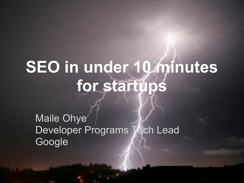# **SEO in under 10 minutes for startups**

Maile Ohye Developer Programs Tech Lead Google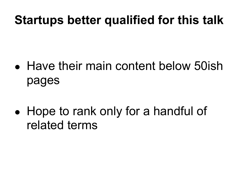### **Startups better qualified for this talk**

- Have their main content below 50ish pages
- Hope to rank only for a handful of related terms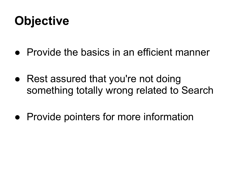## **Objective**

- Provide the basics in an efficient manner
- Rest assured that you're not doing something totally wrong related to Search
- Provide pointers for more information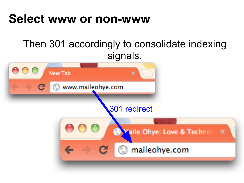#### **Select www or non-www**

#### Then 301 accordingly to consolidate indexing signals.

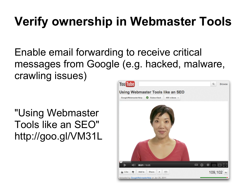# **Verify ownership in Webmaster Tools**

Enable email forwarding to receive critical messages from Google (e.g. hacked, malware, crawling issues)

"Using Webmaster Tools like an SEO" http://goo.gl/VM31L

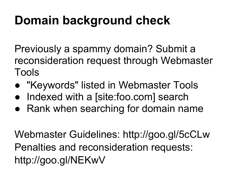## **Domain background check**

Previously a spammy domain? Submit a reconsideration request through Webmaster Tools

- "Keywords" listed in Webmaster Tools
- Indexed with a [site:foo.com] search
- Rank when searching for domain name

Webmaster Guidelines: http://goo.gl/5cCLw Penalties and reconsideration requests: http://goo.gl/NEKwV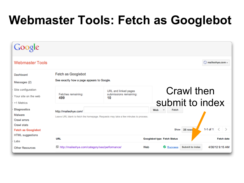# **Webmaster Tools: Fetch as Googlebot**

| Google                                                       |                                                                                                                                                         |                                                      |                                          |                              |
|--------------------------------------------------------------|---------------------------------------------------------------------------------------------------------------------------------------------------------|------------------------------------------------------|------------------------------------------|------------------------------|
| <b>Webmaster Tools</b>                                       |                                                                                                                                                         |                                                      |                                          | $\odot$ maileohye.com $\sim$ |
| Dashboard<br>Messages (2)                                    | Fetch as Googlebot<br>See exactly how a page appears to Google.                                                                                         |                                                      |                                          |                              |
| Site configuration<br>Your site on the web<br>+1 Metrics     | Fetches remaining:<br>499                                                                                                                               | URL and linked pages<br>submissions remaining:<br>10 | Crawl then<br>submit to index            |                              |
| <b>Diagnostics</b><br>Malware<br>Crawl errors<br>Crawl stats | Web<br>Fetch<br>$\overline{\phantom{a}}$<br>http://maileohye.com/<br>Leave URL blank to fetch the homepage. Requests may take a few minutes to process. |                                                      |                                          |                              |
| <b>Fetch as Googlebot</b><br>HTML suggestions<br>Labs        | $1-1$ of $1$<br>Show<br>25 rows<br><b>URL</b><br>Googlebot type Fetch Status<br><b>Fetch date</b>                                                       |                                                      |                                          |                              |
| <b>Other Resources</b>                                       | http://maileohye.com/category/seo/performance/                                                                                                          |                                                      | Success<br><b>Submit to index</b><br>Web | 4/30/12 9:15 AM              |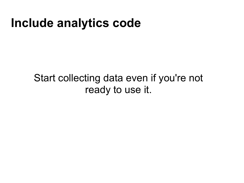#### **Include analytics code**

Start collecting data even if you're not ready to use it.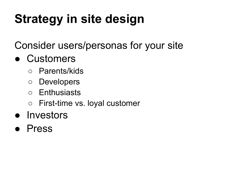# **Strategy in site design**

Consider users/personas for your site

#### ● Customers

- Parents/kids
- Developers
- Enthusiasts
- First-time vs. loyal customer

#### ● Investors

**Press**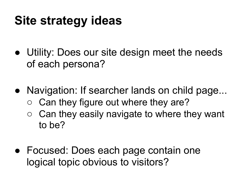## **Site strategy ideas**

- Utility: Does our site design meet the needs of each persona?
- Navigation: If searcher lands on child page...
	- Can they figure out where they are?
	- $\circ$  Can they easily navigate to where they want to be?
- Focused: Does each page contain one logical topic obvious to visitors?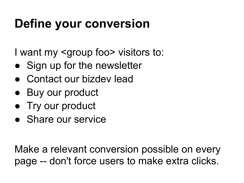# **Define your conversion**

I want my <group foo> visitors to:

- Sign up for the newsletter
- Contact our bizdey lead
- Buy our product
- Try our product
- Share our service

Make a relevant conversion possible on every page -- don't force users to make extra clicks.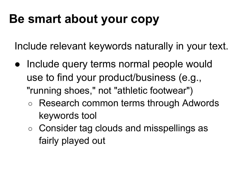### **Be smart about your copy**

Include relevant keywords naturally in your text.

- Include query terms normal people would use to find your product/business (e.g., "running shoes," not "athletic footwear")
	- Research common terms through Adwords keywords tool
	- Consider tag clouds and misspellings as fairly played out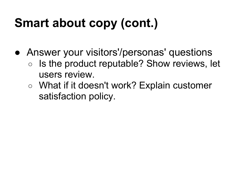# **Smart about copy (cont.)**

- Answer your visitors'/personas' questions
	- Is the product reputable? Show reviews, let users review.
	- What if it doesn't work? Explain customer satisfaction policy.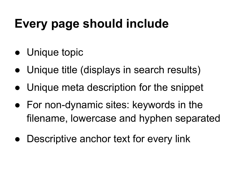# **Every page should include**

- Unique topic
- Unique title (displays in search results)
- Unique meta description for the snippet
- For non-dynamic sites: keywords in the filename, lowercase and hyphen separated
- Descriptive anchor text for every link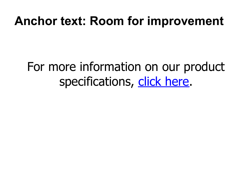#### **Anchor text: Room for improvement**

### For more information on our product specifications, click here.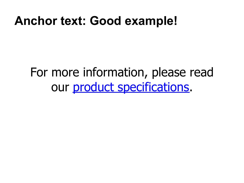#### **Anchor text: Good example!**

### For more information, please read our product specifications.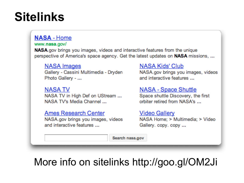### **Sitelinks**

#### **NASA - Home**

#### www.nasa.gov/

NASA gov brings you images, videos and interactive features from the unique perspective of America's space agency. Get the latest updates on NASA missions, ...

#### **NASA** Images

Gallery - Cassini Multimedia - Dryden Photo Gallery - ...

**NASA TV** NASA TV in High Def on UStream ... NASA TV's Media Channel ...

**Ames Research Center** NASA.gov brings you images, videos and interactive features ...

#### NASA Kids' Club

NASA.gov brings you images, videos and interactive features ...

#### **NASA - Space Shuttle**

Space shuttle Discovery, the first orbiter retired from NASA's ...

#### **Video Gallery**

NASA Home; > Multimedia; > Video Gallery. copy. copy ...

Search nasa.gov

#### More info on sitelinks http://goo.gl/OM2Ji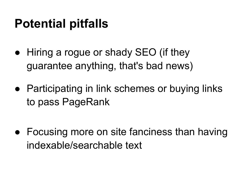## **Potential pitfalls**

- Hiring a rogue or shady SEO (if they guarantee anything, that's bad news)
- Participating in link schemes or buying links to pass PageRank

• Focusing more on site fanciness than having indexable/searchable text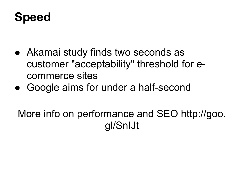### **Speed**

- Akamai study finds two seconds as customer "acceptability" threshold for ecommerce sites
- Google aims for under a half-second

More info on performance and SEO http://goo. gl/SnIJt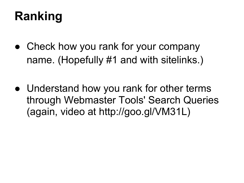## **Ranking**

- Check how you rank for your company name. (Hopefully #1 and with sitelinks.)
- Understand how you rank for other terms through Webmaster Tools' Search Queries (again, video at http://goo.gl/VM31L)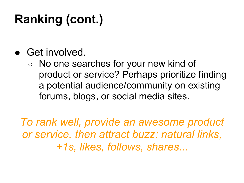# **Ranking (cont.)**

- Get involved.
	- No one searches for your new kind of product or service? Perhaps prioritize finding a potential audience/community on existing forums, blogs, or social media sites.

*To rank well, provide an awesome product or service, then attract buzz: natural links, +1s, likes, follows, shares...*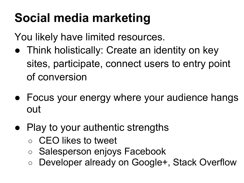# **Social media marketing**

You likely have limited resources.

- Think holistically: Create an identity on key sites, participate, connect users to entry point of conversion
- Focus your energy where your audience hangs out
- Play to your authentic strengths
	- CEO likes to tweet
	- Salesperson enjoys Facebook
	- Developer already on Google+, Stack Overflow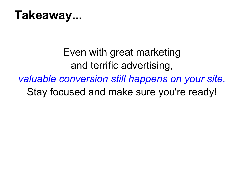

Even with great marketing and terrific advertising, *valuable conversion still happens on your site.* Stay focused and make sure you're ready!